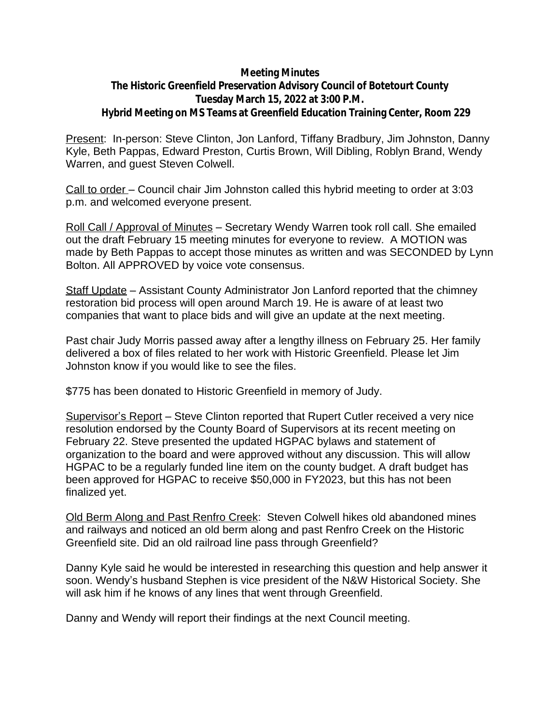## **Meeting Minutes**

## **The Historic Greenfield Preservation Advisory Council of Botetourt County Tuesday March 15, 2022 at 3:00 P.M. Hybrid Meeting on MS Teams at Greenfield Education Training Center, Room 229**

Present: In-person: Steve Clinton, Jon Lanford, Tiffany Bradbury, Jim Johnston, Danny Kyle, Beth Pappas, Edward Preston, Curtis Brown, Will Dibling, Roblyn Brand, Wendy Warren, and guest Steven Colwell.

Call to order – Council chair Jim Johnston called this hybrid meeting to order at 3:03 p.m. and welcomed everyone present.

Roll Call / Approval of Minutes – Secretary Wendy Warren took roll call. She emailed out the draft February 15 meeting minutes for everyone to review. A MOTION was made by Beth Pappas to accept those minutes as written and was SECONDED by Lynn Bolton. All APPROVED by voice vote consensus.

Staff Update – Assistant County Administrator Jon Lanford reported that the chimney restoration bid process will open around March 19. He is aware of at least two companies that want to place bids and will give an update at the next meeting.

Past chair Judy Morris passed away after a lengthy illness on February 25. Her family delivered a box of files related to her work with Historic Greenfield. Please let Jim Johnston know if you would like to see the files.

\$775 has been donated to Historic Greenfield in memory of Judy.

Supervisor's Report – Steve Clinton reported that Rupert Cutler received a very nice resolution endorsed by the County Board of Supervisors at its recent meeting on February 22. Steve presented the updated HGPAC bylaws and statement of organization to the board and were approved without any discussion. This will allow HGPAC to be a regularly funded line item on the county budget. A draft budget has been approved for HGPAC to receive \$50,000 in FY2023, but this has not been finalized yet.

Old Berm Along and Past Renfro Creek: Steven Colwell hikes old abandoned mines and railways and noticed an old berm along and past Renfro Creek on the Historic Greenfield site. Did an old railroad line pass through Greenfield?

Danny Kyle said he would be interested in researching this question and help answer it soon. Wendy's husband Stephen is vice president of the N&W Historical Society. She will ask him if he knows of any lines that went through Greenfield.

Danny and Wendy will report their findings at the next Council meeting.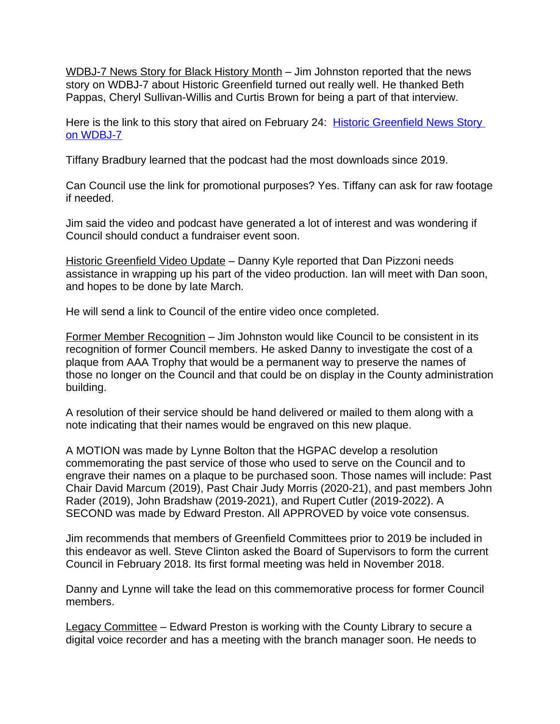WDBJ-7 News Story for Black History Month – Jim Johnston reported that the news story on WDBJ-7 about Historic Greenfield turned out really well. He thanked Beth Pappas, Cheryl Sullivan-Willis and Curtis Brown for being a part of that interview.

Here is the link to this story that aired on February 24: [Historic Greenfield News Story](https://www.wdbj7.com/2022/02/24/local-volunteers-work-preserve-restore-botetourts-historic-slave-cabins/?fbclid=IwAR2c43ODm8m2QrL1RPFQBYwhcuGAamCOpI1yprNCKsFTUqoRpgNv0s2yLfM)  on WDBJ-7

Tiffany Bradbury learned that the podcast had the most downloads since 2019.

Can Council use the link for promotional purposes? Yes. Tiffany can ask for raw footage if needed.

Jim said the video and podcast have generated a lot of interest and was wondering if Council should conduct a fundraiser event soon.

Historic Greenfield Video Update – Danny Kyle reported that Dan Pizzoni needs assistance in wrapping up his part of the video production. Ian will meet with Dan soon, and hopes to be done by late March.

He will send a link to Council of the entire video once completed.

Former Member Recognition – Jim Johnston would like Council to be consistent in its recognition of former Council members. He asked Danny to investigate the cost of a plaque from AAA Trophy that would be a permanent way to preserve the names of those no longer on the Council and that could be on display in the County administration building.

A resolution of their service should be hand delivered or mailed to them along with a note indicating that their names would be engraved on this new plaque.

A MOTION was made by Lynne Bolton that the HGPAC develop a resolution commemorating the past service of those who used to serve on the Council and to engrave their names on a plaque to be purchased soon. Those names will include: Past Chair David Marcum (2019), Past Chair Judy Morris (2020-21), and past members John Rader (2019), John Bradshaw (2019-2021), and Rupert Cutler (2019-2022). A SECOND was made by Edward Preston. All APPROVED by voice vote consensus.

Jim recommends that members of Greenfield Committees prior to 2019 be included in this endeavor as well. Steve Clinton asked the Board of Supervisors to form the current Council in February 2018. Its first formal meeting was held in November 2018.

Danny and Lynne will take the lead on this commemorative process for former Council members.

Legacy Committee – Edward Preston is working with the County Library to secure a digital voice recorder and has a meeting with the branch manager soon. He needs to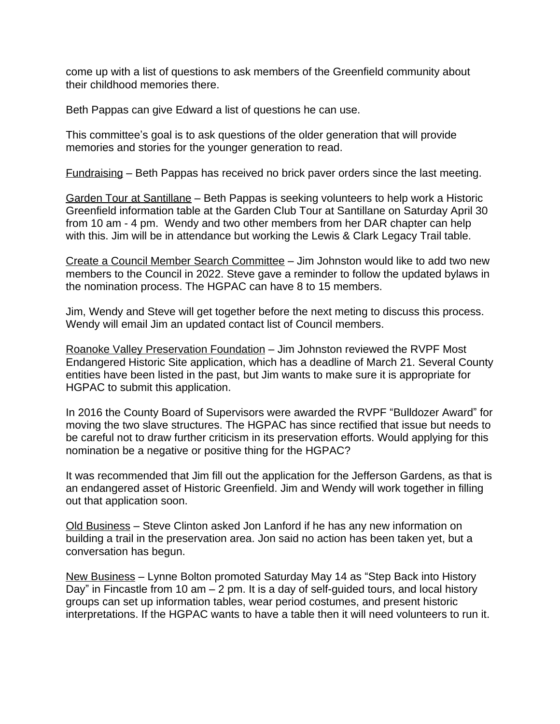come up with a list of questions to ask members of the Greenfield community about their childhood memories there.

Beth Pappas can give Edward a list of questions he can use.

This committee's goal is to ask questions of the older generation that will provide memories and stories for the younger generation to read.

Fundraising – Beth Pappas has received no brick paver orders since the last meeting.

Garden Tour at Santillane – Beth Pappas is seeking volunteers to help work a Historic Greenfield information table at the Garden Club Tour at Santillane on Saturday April 30 from 10 am - 4 pm. Wendy and two other members from her DAR chapter can help with this. Jim will be in attendance but working the Lewis & Clark Legacy Trail table.

Create a Council Member Search Committee – Jim Johnston would like to add two new members to the Council in 2022. Steve gave a reminder to follow the updated bylaws in the nomination process. The HGPAC can have 8 to 15 members.

Jim, Wendy and Steve will get together before the next meting to discuss this process. Wendy will email Jim an updated contact list of Council members.

Roanoke Valley Preservation Foundation – Jim Johnston reviewed the RVPF Most Endangered Historic Site application, which has a deadline of March 21. Several County entities have been listed in the past, but Jim wants to make sure it is appropriate for HGPAC to submit this application.

In 2016 the County Board of Supervisors were awarded the RVPF "Bulldozer Award" for moving the two slave structures. The HGPAC has since rectified that issue but needs to be careful not to draw further criticism in its preservation efforts. Would applying for this nomination be a negative or positive thing for the HGPAC?

It was recommended that Jim fill out the application for the Jefferson Gardens, as that is an endangered asset of Historic Greenfield. Jim and Wendy will work together in filling out that application soon.

Old Business – Steve Clinton asked Jon Lanford if he has any new information on building a trail in the preservation area. Jon said no action has been taken yet, but a conversation has begun.

New Business – Lynne Bolton promoted Saturday May 14 as "Step Back into History Day" in Fincastle from 10 am  $-$  2 pm. It is a day of self-quided tours, and local history groups can set up information tables, wear period costumes, and present historic interpretations. If the HGPAC wants to have a table then it will need volunteers to run it.